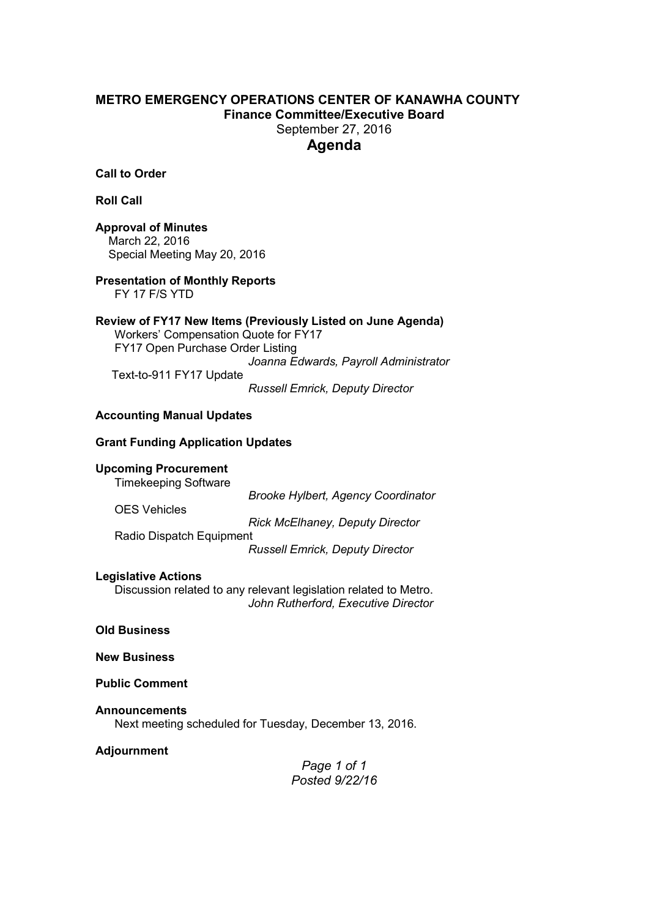### **METRO EMERGENCY OPERATIONS CENTER OF KANAWHA COUNTY Finance Committee/Executive Board**  September 27, 2016 **Agenda**

**Call to Order**

**Roll Call** 

**Approval of Minutes**  March 22, 2016 Special Meeting May 20, 2016

**Presentation of Monthly Reports**  FY 17 F/S YTD

**Review of FY17 New Items (Previously Listed on June Agenda)**  Workers' Compensation Quote for FY17 FY17 Open Purchase Order Listing *Joanna Edwards, Payroll Administrator*  Text-to-911 FY17 Update

*Russell Emrick, Deputy Director* 

#### **Accounting Manual Updates**

#### **Grant Funding Application Updates**

#### **Upcoming Procurement**

Timekeeping Software

 *Brooke Hylbert, Agency Coordinator* 

*Rick McElhaney, Deputy Director* 

Radio Dispatch Equipment

*Russell Emrick, Deputy Director* 

#### **Legislative Actions**

OES Vehicles

 Discussion related to any relevant legislation related to Metro.  *John Rutherford, Executive Director* 

**Old Business**

**New Business**

**Public Comment**

#### **Announcements**

Next meeting scheduled for Tuesday, December 13, 2016.

**Adjournment** 

*Page 1 of 1 Posted 9/22/16*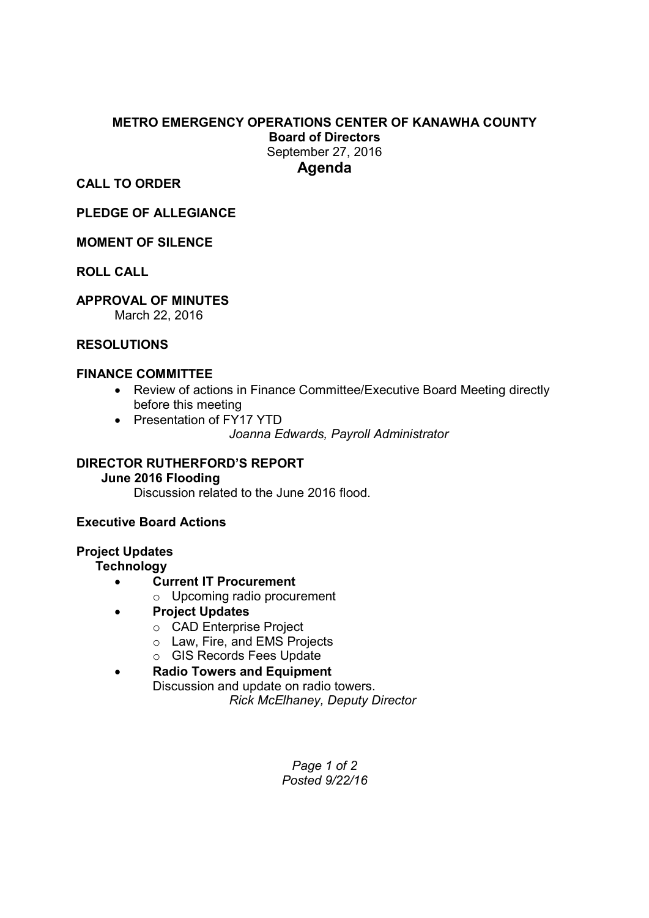## **METRO EMERGENCY OPERATIONS CENTER OF KANAWHA COUNTY Board of Directors**  September 27, 2016

**Agenda** 

**CALL TO ORDER** 

**PLEDGE OF ALLEGIANCE** 

## **MOMENT OF SILENCE**

**ROLL CALL** 

## **APPROVAL OF MINUTES**

March 22, 2016

## **RESOLUTIONS**

## **FINANCE COMMITTEE**

- Review of actions in Finance Committee/Executive Board Meeting directly before this meeting
- Presentation of FY17 YTD *Joanna Edwards, Payroll Administrator*

# **DIRECTOR RUTHERFORD'S REPORT**

## **June 2016 Flooding**

Discussion related to the June 2016 flood.

## **Executive Board Actions**

## **Project Updates**

## **Technology**

- **Current IT Procurement** 
	- o Upcoming radio procurement
- **Project Updates** 
	- o CAD Enterprise Project
	- o Law, Fire, and EMS Projects
	- o GIS Records Fees Update
- **Radio Towers and Equipment** Discussion and update on radio towers. *Rick McElhaney, Deputy Director*

*Page 1 of 2 Posted 9/22/16*